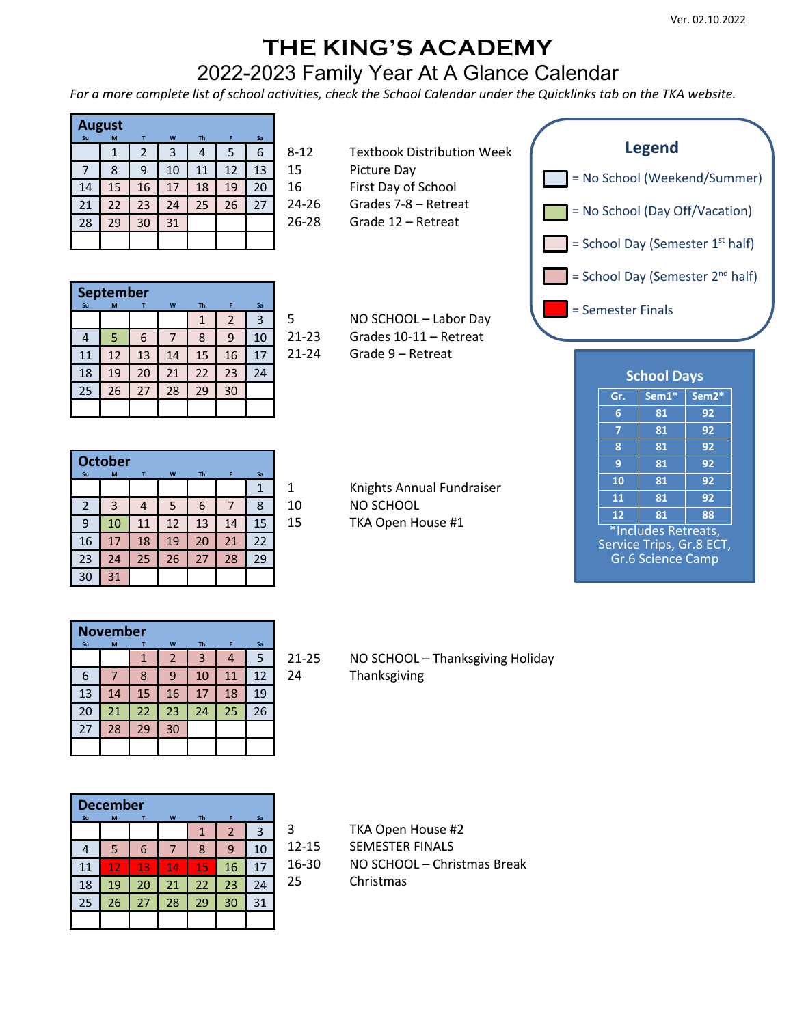## **THE KING'S ACADEMY**

## 2022-2023 Family Year At A Glance Calendar

*For a more complete list of school activities, check the School Calendar under the Quicklinks tab on the TKA website.*

| Su | August<br>M | т              | W  | <b>Th</b> | F  | Sa |       |
|----|-------------|----------------|----|-----------|----|----|-------|
|    | 1           | $\overline{2}$ | 3  | 4         | 5  | 6  | $8-2$ |
|    | 8           | 9              | 10 | 11        | 12 | 13 | 15    |
| 14 | 15          | 16             | 17 | 18        | 19 | 20 | 16    |
| 21 | 22          | 23             | 24 | 25        | 26 | 27 | 24    |
| 28 | 29          | 30             | 31 |           |    |    | 26    |
|    |             |                |    |           |    |    |       |

- Picture Day
- First Day of School
- 24-26 Grades 7-8 Retreat
- 26-28 Grade 12 Retreat

|    | September |    |    |           |    |    |           |
|----|-----------|----|----|-----------|----|----|-----------|
| Su | M         |    | W  | <b>Th</b> | F  | Sa |           |
|    |           |    |    |           | 2  | 3  | .5        |
|    | 5         | 6  |    | 8         | 9  | 10 | $21 - 23$ |
| 11 | 12        | 13 | 14 | 15        | 16 | 17 | $21 - 24$ |
| 18 | 19        | 20 | 21 | 22        | 23 | 24 |           |
| 25 | 26        | 27 | 28 | 29        | 30 |    |           |
|    |           |    |    |           |    |    |           |

| 5     | NO SCHOOL - Labor Day  |
|-------|------------------------|
| 21-23 | Grades 10-11 – Retreat |
| 21-24 | Grade 9 – Retreat      |



|                | <b>October</b> |    |    |           |    |    |              |
|----------------|----------------|----|----|-----------|----|----|--------------|
| Su             | M              | т  | W  | <b>Th</b> | F  | Sa |              |
|                |                |    |    |           |    | 1  | 1            |
| $\overline{2}$ | 3              | 4  | 5  | 6         |    | 8  | $1\vert$     |
| 9              | 10             | 11 | 12 | 13        | 14 | 15 | $\mathbf{1}$ |
| 16             | 17             | 18 | 19 | 20        | 21 | 22 |              |
| 23             | 24             | 25 | 26 | 27        | 28 | 29 |              |
| 30             | 31             |    |    |           |    |    |              |

1 Knights Annual Fundraiser 0 NO SCHOOL

5 TKA Open House #1

| <b>School Days</b>  |                          |                    |  |  |  |
|---------------------|--------------------------|--------------------|--|--|--|
| Gr.                 | Sem1*                    | Sem <sub>2</sub> * |  |  |  |
| 6                   | 81                       | 92                 |  |  |  |
| 7                   | 81                       | 92                 |  |  |  |
| 8                   | 81                       | 92                 |  |  |  |
| 9                   | 81                       | 92                 |  |  |  |
| 10                  | 81                       | 92                 |  |  |  |
| 11                  | 81                       | 92                 |  |  |  |
| 12                  | 81                       | 88                 |  |  |  |
| *Includes Retreats, |                          |                    |  |  |  |
|                     | Service Trips, Gr.8 ECT, |                    |  |  |  |
|                     | <b>Gr.6 Science Camp</b> |                    |  |  |  |

|    | <b>November</b> |    |    |                |    |    |    |
|----|-----------------|----|----|----------------|----|----|----|
| Su | M               |    | W  | Th             | F  | Sa |    |
|    |                 | 1  | 2  | $\overline{3}$ | 4  | 5  | 21 |
| 6  |                 | 8  | 9  | 10             | 11 | 12 | 24 |
| 13 | 14              | 15 | 16 | 17             | 18 | 19 |    |
| 20 | 21              | 22 | 23 | 24             | 25 | 26 |    |
| 27 | 28              | 29 | 30 |                |    |    |    |
|    |                 |    |    |                |    |    |    |

## 1-25 NO SCHOOL – Thanksgiving Holiday **Thanksgiving**

|    | <b>December</b> |    |    |           |                |    |
|----|-----------------|----|----|-----------|----------------|----|
| Su | M               | т  | W  | <b>Th</b> | F              | Sa |
|    |                 |    |    | 1         | $\overline{2}$ | 3  |
|    | 5               | 6  |    | 8         | 9              | 10 |
| 11 | 12              | 13 | 14 | 15        | 16             | 17 |
| 18 | 19              | 20 | 21 | 22        | 23             | 24 |
| 25 | 26              | 27 | 28 | 29        | 30             | 31 |
|    |                 |    |    |           |                |    |

- TKA Open House #2 12-15 SEMESTER FINALS
- 16-30 NO SCHOOL Christmas Break
- 25 Christmas